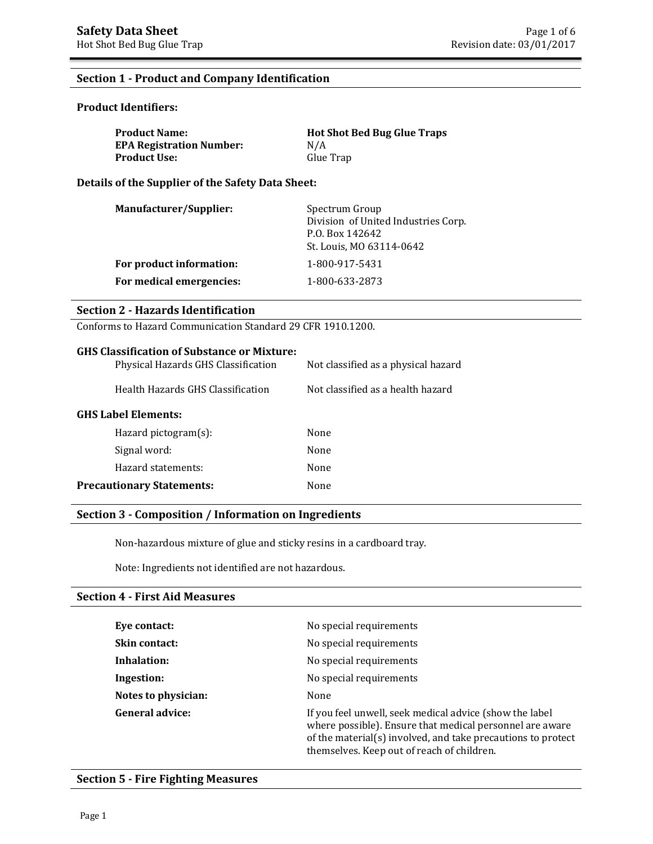# **Section 1 - Product and Company Identification**

### **Product Identifiers:**

| <b>Product Name:</b>            | <b>Hot Shot Bed Bug Glue Traps</b> |
|---------------------------------|------------------------------------|
| <b>EPA Registration Number:</b> | N/A                                |
| <b>Product Use:</b>             | Glue Trap                          |

**Details of the Supplier of the Safety Data Sheet:**

| <b>Manufacturer/Supplier:</b> | Spectrum Group<br>Division of United Industries Corp.<br>P.O. Box 142642<br>St. Louis, MO 63114-0642 |
|-------------------------------|------------------------------------------------------------------------------------------------------|
| For product information:      | 1-800-917-5431                                                                                       |
| For medical emergencies:      | 1-800-633-2873                                                                                       |

### **Section 2 - Hazards Identification**

Conforms to Hazard Communication Standard 29 CFR 1910.1200.

| <b>GHS Classification of Substance or Mixture:</b><br>Physical Hazards GHS Classification | Not classified as a physical hazard |
|-------------------------------------------------------------------------------------------|-------------------------------------|
| Health Hazards GHS Classification                                                         | Not classified as a health hazard   |
| <b>GHS Label Elements:</b>                                                                |                                     |
| Hazard pictogram $(s)$ :                                                                  | None                                |
| Signal word:                                                                              | None                                |
| Hazard statements:                                                                        | None                                |
| <b>Precautionary Statements:</b>                                                          | None                                |

#### **Section 3 - Composition / Information on Ingredients**

Non-hazardous mixture of glue and sticky resins in a cardboard tray.

Note: Ingredients not identified are not hazardous.

### **Section 4 - First Aid Measures**

| Eye contact:           | No special requirements                                                                                                                                                                                                           |
|------------------------|-----------------------------------------------------------------------------------------------------------------------------------------------------------------------------------------------------------------------------------|
| Skin contact:          | No special requirements                                                                                                                                                                                                           |
| Inhalation:            | No special requirements                                                                                                                                                                                                           |
| Ingestion:             | No special requirements                                                                                                                                                                                                           |
| Notes to physician:    | None                                                                                                                                                                                                                              |
| <b>General advice:</b> | If you feel unwell, seek medical advice (show the label<br>where possible). Ensure that medical personnel are aware<br>of the material(s) involved, and take precautions to protect<br>themselves. Keep out of reach of children. |

#### **Section 5 - Fire Fighting Measures**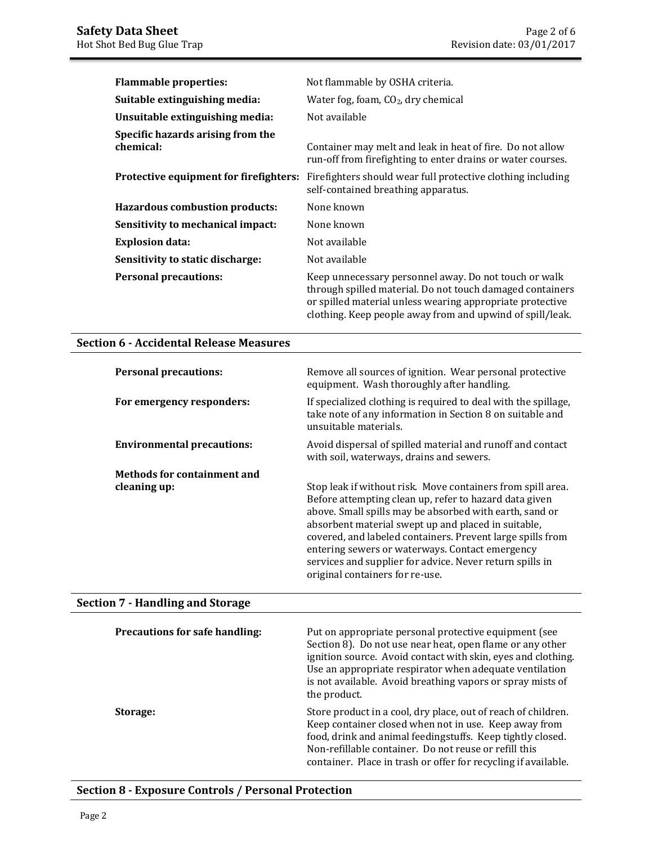| <b>Flammable properties:</b>                   | Not flammable by OSHA criteria.                                                                                                                                                                                                              |
|------------------------------------------------|----------------------------------------------------------------------------------------------------------------------------------------------------------------------------------------------------------------------------------------------|
| Suitable extinguishing media:                  | Water fog, foam, $CO2$ , dry chemical                                                                                                                                                                                                        |
| Unsuitable extinguishing media:                | Not available                                                                                                                                                                                                                                |
| Specific hazards arising from the<br>chemical: | Container may melt and leak in heat of fire. Do not allow<br>run-off from firefighting to enter drains or water courses.                                                                                                                     |
| Protective equipment for firefighters:         | Firefighters should wear full protective clothing including<br>self-contained breathing apparatus.                                                                                                                                           |
| Hazardous combustion products:                 | None known                                                                                                                                                                                                                                   |
| Sensitivity to mechanical impact:              | None known                                                                                                                                                                                                                                   |
| <b>Explosion data:</b>                         | Not available                                                                                                                                                                                                                                |
| Sensitivity to static discharge:               | Not available                                                                                                                                                                                                                                |
| <b>Personal precautions:</b>                   | Keep unnecessary personnel away. Do not touch or walk<br>through spilled material. Do not touch damaged containers<br>or spilled material unless wearing appropriate protective<br>clothing. Keep people away from and upwind of spill/leak. |

# **Section 6 - Accidental Release Measures**

| <b>Personal precautions:</b>      | Remove all sources of ignition. Wear personal protective<br>equipment. Wash thoroughly after handling.                                                                                                                                                                                                                                                                                                                                                  |
|-----------------------------------|---------------------------------------------------------------------------------------------------------------------------------------------------------------------------------------------------------------------------------------------------------------------------------------------------------------------------------------------------------------------------------------------------------------------------------------------------------|
| For emergency responders:         | If specialized clothing is required to deal with the spillage,<br>take note of any information in Section 8 on suitable and<br>unsuitable materials.                                                                                                                                                                                                                                                                                                    |
| <b>Environmental precautions:</b> | Avoid dispersal of spilled material and runoff and contact<br>with soil, waterways, drains and sewers.                                                                                                                                                                                                                                                                                                                                                  |
| Methods for containment and       |                                                                                                                                                                                                                                                                                                                                                                                                                                                         |
| cleaning up:                      | Stop leak if without risk. Move containers from spill area.<br>Before attempting clean up, refer to hazard data given<br>above. Small spills may be absorbed with earth, sand or<br>absorbent material swept up and placed in suitable,<br>covered, and labeled containers. Prevent large spills from<br>entering sewers or waterways. Contact emergency<br>services and supplier for advice. Never return spills in<br>original containers for re-use. |

## **Section 7 - Handling and Storage**

| <b>Precautions for safe handling:</b> | Put on appropriate personal protective equipment (see<br>Section 8). Do not use near heat, open flame or any other<br>ignition source. Avoid contact with skin, eyes and clothing.<br>Use an appropriate respirator when adequate ventilation<br>is not available. Avoid breathing vapors or spray mists of<br>the product. |
|---------------------------------------|-----------------------------------------------------------------------------------------------------------------------------------------------------------------------------------------------------------------------------------------------------------------------------------------------------------------------------|
| Storage:                              | Store product in a cool, dry place, out of reach of children.<br>Keep container closed when not in use. Keep away from<br>food, drink and animal feedingstuffs. Keep tightly closed.<br>Non-refillable container. Do not reuse or refill this<br>container. Place in trash or offer for recycling if available.             |

## **Section 8 - Exposure Controls / Personal Protection**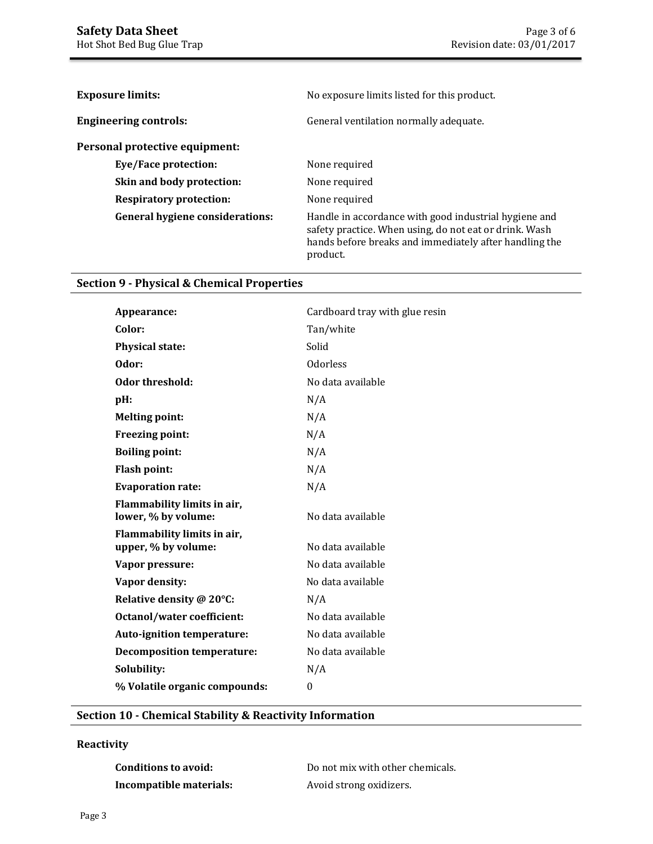| <b>Exposure limits:</b>                | No exposure limits listed for this product.                                                                                                                                           |
|----------------------------------------|---------------------------------------------------------------------------------------------------------------------------------------------------------------------------------------|
| <b>Engineering controls:</b>           | General ventilation normally adequate.                                                                                                                                                |
| Personal protective equipment:         |                                                                                                                                                                                       |
| Eye/Face protection:                   | None required                                                                                                                                                                         |
| Skin and body protection:              | None required                                                                                                                                                                         |
| <b>Respiratory protection:</b>         | None required                                                                                                                                                                         |
| <b>General hygiene considerations:</b> | Handle in accordance with good industrial hygiene and<br>safety practice. When using, do not eat or drink. Wash<br>hands before breaks and immediately after handling the<br>product. |

# **Section 9 - Physical & Chemical Properties**

| Appearance:                                        | Cardboard tray with glue resin |
|----------------------------------------------------|--------------------------------|
| Color:                                             | Tan/white                      |
| <b>Physical state:</b>                             | Solid                          |
| Odor:                                              | <b>Odorless</b>                |
| Odor threshold:                                    | No data available              |
| pH:                                                | N/A                            |
| <b>Melting point:</b>                              | N/A                            |
| <b>Freezing point:</b>                             | N/A                            |
| <b>Boiling point:</b>                              | N/A                            |
| <b>Flash point:</b>                                | N/A                            |
| <b>Evaporation rate:</b>                           | N/A                            |
| Flammability limits in air,<br>lower, % by volume: | No data available              |
| Flammability limits in air,<br>upper, % by volume: | No data available              |
| Vapor pressure:                                    | No data available              |
| Vapor density:                                     | No data available              |
| Relative density @ 20°C:                           | N/A                            |
| <b>Octanol/water coefficient:</b>                  | No data available              |
| Auto-ignition temperature:                         | No data available              |
| <b>Decomposition temperature:</b>                  | No data available              |
| Solubility:                                        | N/A                            |
| % Volatile organic compounds:                      | $\boldsymbol{0}$               |
|                                                    |                                |

## **Section 10 - Chemical Stability & Reactivity Information**

## **Reactivity**

| Conditions to avoid:    | Do not mix with other chemicals. |
|-------------------------|----------------------------------|
| Incompatible materials: | Avoid strong oxidizers.          |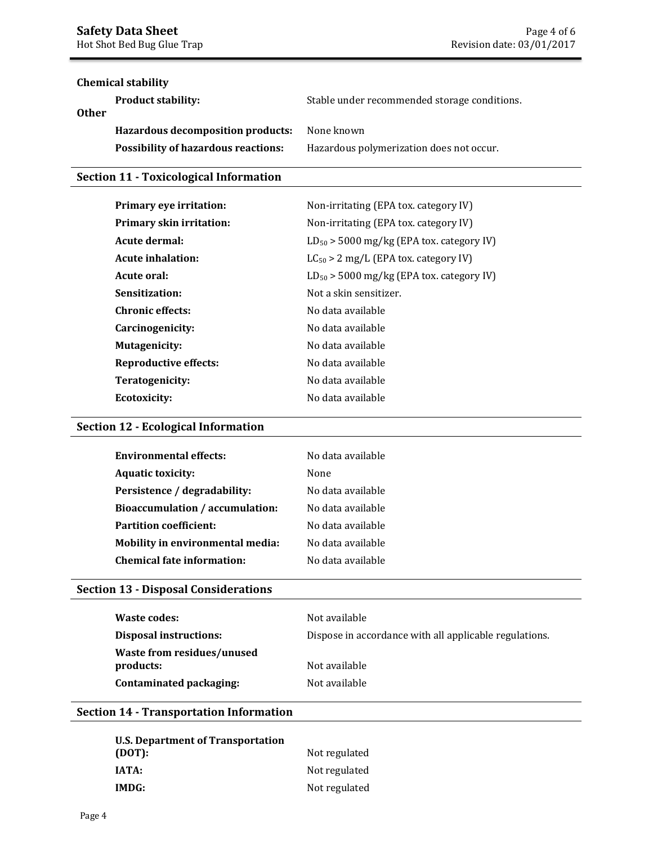## **Chemical stability**

| <b>Other</b> | <b>Product stability:</b>                  | Stable under recommended storage conditions. |
|--------------|--------------------------------------------|----------------------------------------------|
|              | Hazardous decomposition products:          | None known                                   |
|              | <b>Possibility of hazardous reactions:</b> | Hazardous polymerization does not occur.     |

## **Section 11 - Toxicological Information**

| Non-irritating (EPA tox. category IV)         |
|-----------------------------------------------|
| Non-irritating (EPA tox. category IV)         |
| $LD_{50}$ > 5000 mg/kg (EPA tox. category IV) |
| $LC_{50} > 2$ mg/L (EPA tox. category IV)     |
| $LD_{50}$ > 5000 mg/kg (EPA tox. category IV) |
| Not a skin sensitizer.                        |
| No data available                             |
| No data available                             |
| No data available                             |
| No data available                             |
| No data available                             |
| No data available                             |
|                                               |

## **Section 12 - Ecological Information**

| <b>Environmental effects:</b>     | No data available |
|-----------------------------------|-------------------|
| <b>Aquatic toxicity:</b>          | None              |
| Persistence / degradability:      | No data available |
| Bioaccumulation / accumulation:   | No data available |
| <b>Partition coefficient:</b>     | No data available |
| Mobility in environmental media:  | No data available |
| <b>Chemical fate information:</b> | No data available |
|                                   |                   |

## **Section 13 - Disposal Considerations**

| Waste codes:                            | Not available                                          |
|-----------------------------------------|--------------------------------------------------------|
| <b>Disposal instructions:</b>           | Dispose in accordance with all applicable regulations. |
| Waste from residues/unused<br>products: | Not available                                          |
| Contaminated packaging:                 | Not available                                          |

### **Section 14 - Transportation Information**

| U.S. Department of Transportation |               |
|-----------------------------------|---------------|
| (DOT):                            | Not regulated |
| IATA:                             | Not regulated |
| IMDG:                             | Not regulated |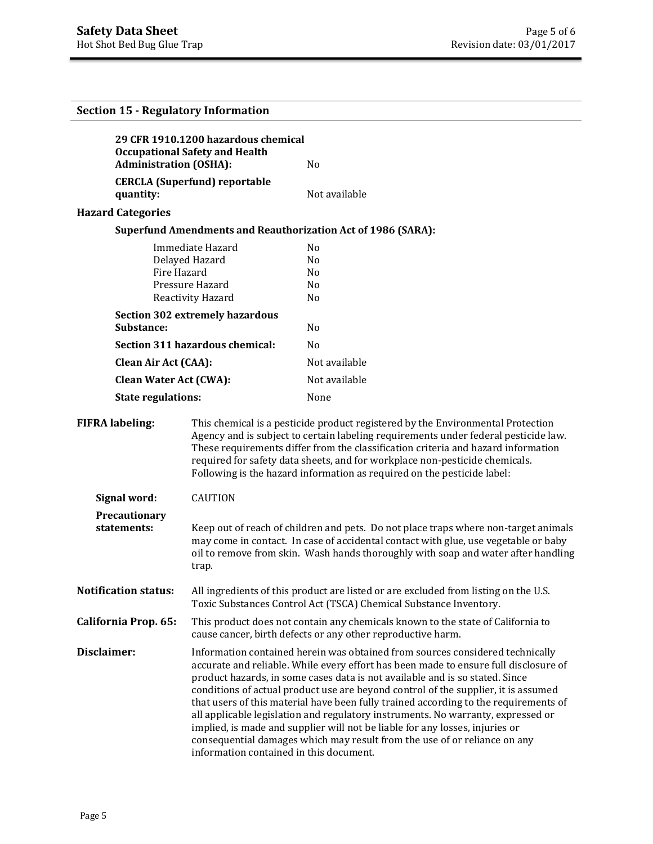| <b>Section 15 - Regulatory Information</b>                                                |                                                                                                                                                                                                                                                                                                                                                                                                                                                                                                                                                                                                                                                                                                                                 |                                                                            |  |
|-------------------------------------------------------------------------------------------|---------------------------------------------------------------------------------------------------------------------------------------------------------------------------------------------------------------------------------------------------------------------------------------------------------------------------------------------------------------------------------------------------------------------------------------------------------------------------------------------------------------------------------------------------------------------------------------------------------------------------------------------------------------------------------------------------------------------------------|----------------------------------------------------------------------------|--|
| <b>Administration (OSHA):</b>                                                             | 29 CFR 1910.1200 hazardous chemical<br><b>Occupational Safety and Health</b>                                                                                                                                                                                                                                                                                                                                                                                                                                                                                                                                                                                                                                                    | N <sub>0</sub>                                                             |  |
| quantity:                                                                                 | <b>CERCLA (Superfund) reportable</b>                                                                                                                                                                                                                                                                                                                                                                                                                                                                                                                                                                                                                                                                                            | Not available                                                              |  |
| <b>Hazard Categories</b>                                                                  |                                                                                                                                                                                                                                                                                                                                                                                                                                                                                                                                                                                                                                                                                                                                 |                                                                            |  |
|                                                                                           |                                                                                                                                                                                                                                                                                                                                                                                                                                                                                                                                                                                                                                                                                                                                 | <b>Superfund Amendments and Reauthorization Act of 1986 (SARA):</b>        |  |
| Immediate Hazard<br>Delayed Hazard<br>Fire Hazard<br>Pressure Hazard<br>Reactivity Hazard |                                                                                                                                                                                                                                                                                                                                                                                                                                                                                                                                                                                                                                                                                                                                 | N <sub>0</sub><br>N <sub>0</sub><br>N <sub>0</sub><br>No<br>N <sub>0</sub> |  |
| Substance:                                                                                | <b>Section 302 extremely hazardous</b>                                                                                                                                                                                                                                                                                                                                                                                                                                                                                                                                                                                                                                                                                          | N <sub>0</sub>                                                             |  |
| Section 311 hazardous chemical:                                                           |                                                                                                                                                                                                                                                                                                                                                                                                                                                                                                                                                                                                                                                                                                                                 | N <sub>0</sub>                                                             |  |
| <b>Clean Air Act (CAA):</b>                                                               |                                                                                                                                                                                                                                                                                                                                                                                                                                                                                                                                                                                                                                                                                                                                 | Not available                                                              |  |
| <b>Clean Water Act (CWA):</b>                                                             |                                                                                                                                                                                                                                                                                                                                                                                                                                                                                                                                                                                                                                                                                                                                 | Not available                                                              |  |
| <b>State regulations:</b>                                                                 |                                                                                                                                                                                                                                                                                                                                                                                                                                                                                                                                                                                                                                                                                                                                 | None                                                                       |  |
| <b>FIFRA labeling:</b>                                                                    | This chemical is a pesticide product registered by the Environmental Protection<br>Agency and is subject to certain labeling requirements under federal pesticide law.<br>These requirements differ from the classification criteria and hazard information<br>required for safety data sheets, and for workplace non-pesticide chemicals.<br>Following is the hazard information as required on the pesticide label:                                                                                                                                                                                                                                                                                                           |                                                                            |  |
| Signal word:                                                                              | <b>CAUTION</b>                                                                                                                                                                                                                                                                                                                                                                                                                                                                                                                                                                                                                                                                                                                  |                                                                            |  |
| Precautionary<br>statements:                                                              | Keep out of reach of children and pets. Do not place traps where non-target animals<br>may come in contact. In case of accidental contact with glue, use vegetable or baby<br>oil to remove from skin. Wash hands thoroughly with soap and water after handling<br>trap.                                                                                                                                                                                                                                                                                                                                                                                                                                                        |                                                                            |  |
| <b>Notification status:</b>                                                               | All ingredients of this product are listed or are excluded from listing on the U.S.<br>Toxic Substances Control Act (TSCA) Chemical Substance Inventory.                                                                                                                                                                                                                                                                                                                                                                                                                                                                                                                                                                        |                                                                            |  |
| California Prop. 65:                                                                      | This product does not contain any chemicals known to the state of California to<br>cause cancer, birth defects or any other reproductive harm.                                                                                                                                                                                                                                                                                                                                                                                                                                                                                                                                                                                  |                                                                            |  |
| Disclaimer:                                                                               | Information contained herein was obtained from sources considered technically<br>accurate and reliable. While every effort has been made to ensure full disclosure of<br>product hazards, in some cases data is not available and is so stated. Since<br>conditions of actual product use are beyond control of the supplier, it is assumed<br>that users of this material have been fully trained according to the requirements of<br>all applicable legislation and regulatory instruments. No warranty, expressed or<br>implied, is made and supplier will not be liable for any losses, injuries or<br>consequential damages which may result from the use of or reliance on any<br>information contained in this document. |                                                                            |  |